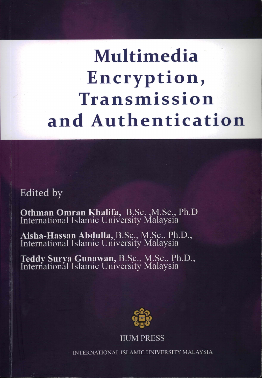# Multimedia Encryption, Transmission and Authentication

Edited by

Othman Omran Khalifa, B.Sc., M.Sc., Ph.D<br>International Islamic University Malaysia

Aisha-Hassan Abdulla, B.Sc., M.Sc., Ph.D., International Islamic University Malaysia

Teddy Surya Gunawan, B.Sc., M.Sc., Ph.D., International Islamic University Malaysia



**IIUM PRESS** 

INTERNATIONAL ISLAMIC UNIVERSITY MALAYSIA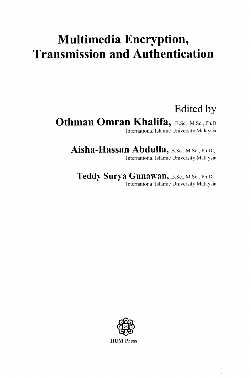# **Multimedia Encryption, Transmission and Authentication**

## Edited by

**Othman Omran Khalifa, B.Sc. ,M.Sc., Ph.D** International Islamic University Malaysia

Aisha-Hassan Abdulla, B.Sc., M.Sc., Ph.D., International Islamic University Malaysia

Teddy Surya Gunawan, B.Sc., M.Sc., Ph.D., International Islamic University Malaysia

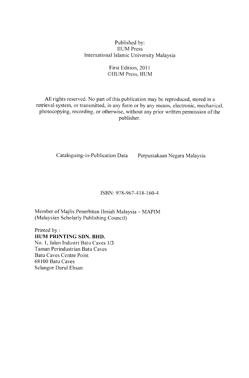#### Published by: **IIUM Press** International Islamic University Malaysia

#### First Edition, 2011 ©IIUM Press, IIUM

All rights reserved. No part of this publication may be reproduced, stored in a retrieval system, or transmitted, in any form or by any means, electronic, mechanical, photocopying, recording, or otherwise, without any prior written permission of the publisher.

Cataloguing-in-Publication Data

Perpustakaan Negara Malaysia

#### ISBN: 978-967-418-160-4

Member of Majlis Penerbitan Ilmiah Malaysia - MAPIM (Malaysian Scholarly Publishing Council)

Printed by: **HUM PRINTING SDN. BHD.** No. 1, Jalan Industri Batu Caves 1/3 Taman Perindustrian Batu Caves **Batu Caves Centre Point** 68100 Batu Caves Selangor Darul Ehsan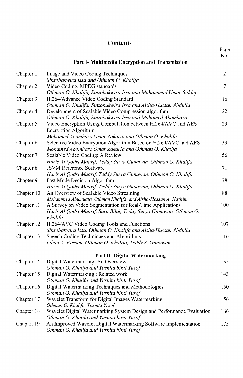#### Contents

|            |                                                                                                                                                    | Page<br>No.    |
|------------|----------------------------------------------------------------------------------------------------------------------------------------------------|----------------|
|            | Part I- Multimedia Encryption and Transmission                                                                                                     |                |
| Chapter 1  | Image and Video Coding Techniques<br>Sinzobakwira Issa and Othman O. Khalifa                                                                       | $\overline{2}$ |
| Chapter 2  | Video Coding: MPEG standards<br>Othman O. Khalifa, Sinzobakwira Issa and Muhammad Umar Siddiqi                                                     | $\overline{7}$ |
| Chapter 3  | H.264/Advance Video Coding Standard<br>Othman O. Khalifa, Sinzobakwira Issa and Aisha-Hassan Abdulla                                               | 16             |
| Chapter 4  | Development of Scalable Video Compression algorithm<br>Othman O. Khalifa, Sinzobakwira Issa and Mohamed Abomhara                                   | 22             |
| Chapter 5  | Video Encryption Using Computation between H.264/AVC and AES<br><b>Encryption Algorithm</b><br>Mohamed Abomhara Omar Zakaria and Othman O. Khalifa | 29             |
| Chapter 6  | Selective Video Encryption Algorithm Based on H.264/AVC and AES<br>Mohamed Abomhara Omar Zakaria and Othman O. Khalifa                             | 39             |
| Chapter 7  | Scalable Video Coding: A Review<br>Haris Al Qodri Maarif, Teddy Surya Gunawan, Othman O. Khalifa                                                   | 56             |
| Chapter 8  | <b>JSVM Reference Software</b><br>Haris Al Qodri Maarif, Teddy Surya Gunawan, Othman O. Khalifa                                                    | 71             |
| Chapter 9  | Fast Mode Decision Algorithm<br>Haris Al Qodri Maarif, Teddy Surya Gunawan, Othman O. Khalifa                                                      | 78             |
| Chapter 10 | An Overview of Scalable Video Streaming<br>Mohammed Abumuala, Othman Khalifa and Aisha-Hassan A. Hashim                                            | 88             |
| Chapter 11 | A Survey on Video Segmentation for Real-Time Applications<br>Haris Al Qodri Maarif, Sara Bilal, Teddy Surya Gunawan, Othman O.<br>Khalifa          | 100            |
| Chapter 12 | H.264/AVC Video Coding Tools and Functions<br>Sinzobakwira Issa, Othman O. Khalifa and Aisha-Hassan Abdulla                                        | 107            |
| Chapter 13 | Speech Coding Techniques and Algorithms<br>Liban A. Kassim, Othman O. Khalifa, Teddy S. Gunawan                                                    | 116            |
|            | <b>Part II- Digital Watermarking</b>                                                                                                               |                |
| Chapter 14 | Digital Watermarking: An Overview<br>Othman O. Khalifa and Yusnita binti Yusof                                                                     | 135            |
| Chapter 15 | Digital Watermarking: Related work<br>Othman O. Khalifa and Yusnita binti Yusof                                                                    | 143            |
| Chapter 16 | Digital Watermarking Techniques and Methodologies<br>Othman O. Khalifa and Yusnita binti Yusof                                                     | 150            |
| Chapter 17 | Wavelet Transform for Digital Images Watermarking<br>Othman O. Khalifa, Yusnita Yusof                                                              | 156            |
| Chapter 18 | Wavelet Digital Watermarking System Design and Performance Evaluation<br>Othman O. Khalifa and Yusnita binti Yusof                                 | 166            |
| Chapter 19 | An Improved Wavelet Digital Watermarking Software Implementation<br>Othman O. Khalifa and Yusnita binti Yusof                                      | 175            |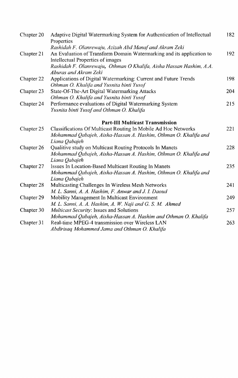| Chapter 20 | Adaptive Digital Watermarking System for Authentication of Intellectual<br>Properties                                                              | 182 |
|------------|----------------------------------------------------------------------------------------------------------------------------------------------------|-----|
|            | Rashidah F. Olanrewaju, Azizah Abd Manaf and Akram Zeki                                                                                            |     |
| Chapter 21 | An Evaluation of Transform Domain Watermarking and its application to<br>Intellectual Properties of images                                         | 192 |
|            | Rashidah F. Olanrewaju, Othman O Khalifa, Aisha Hassan Hashim, A.A.<br>Aburas and Akram Zeki                                                       |     |
| Chapter 22 | Applications of Digital Watermarking: Current and Future Trends<br>Othman O. Khalifa and Yusnita binti Yusof                                       | 198 |
| Chapter 23 | State-Of-The-Art Digital Watermarking Attacks<br>Othman O. Khalifa and Yusnita binti Yusof                                                         | 204 |
| Chapter 24 | Performance evaluations of Digital Watermarking System<br>Yusnita binti Yusof and Othman O. Khalifa                                                | 215 |
|            | <b>Part-III Multicast Transmission</b>                                                                                                             |     |
| Chapter 25 | Classifications Of Multicast Routing In Mobile Ad Hoc Networks<br>Mohammad Qabajeh, Aisha-Hassan A. Hashim, Othman O. Khalifa and<br>Liana Qabajeh | 221 |
| Chapter 26 | Qualitive study on Multicast Routing Protocols In Manets<br>Mohammad Qabajeh, Aisha-Hassan A. Hashim, Othman O. Khalifa and<br>Liana Qabajeh       | 228 |
| Chapter 27 | Issues In Location-Based Multicast Routing In Manets<br>Mohammad Qabajeh, Aisha-Hassan A. Hashim, Othman O. Khalifa and<br>Liana Qabajeh           | 235 |
| Chapter 28 | Multicasting Challenges In Wireless Mesh Networks<br>M. L. Sanni, A. A. Hashim, F. Anwar and J. I. Daoud                                           | 241 |
| Chapter 29 | Mobility Management In Multicast Environment<br>M. L. Sanni, A. A. Hashim, A. W. Naji and G. S. M. Ahmed                                           | 249 |
| Chapter 30 | Multicast Security: Issues and Solutions<br>Mohammad Qabajeh, Aisha-Hassan A. Hashim and Othman O. Khalifa                                         | 257 |
| Chapter 31 | Real-time MPEG-4 transmission over Wireless LAN<br>Abdirisaq Mohammed Jama and Othman O. Khalifa                                                   | 263 |